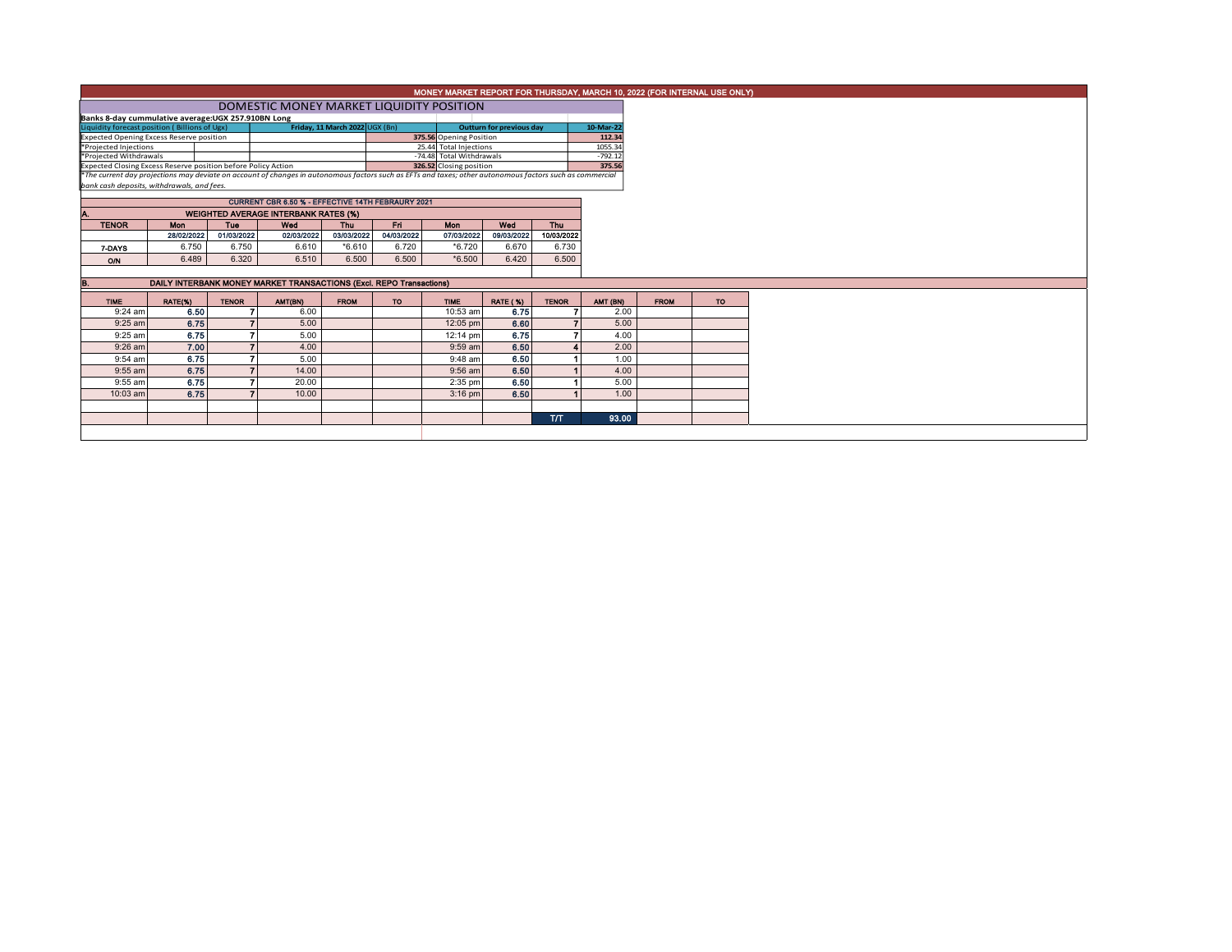|                                                                                                                    | MONEY MARKET REPORT FOR THURSDAY, MARCH 10, 2022 (FOR INTERNAL USE ONLY)                                                                                                                               |              |                                                                     |             |            |                                                     |                        |              |                     |             |           |  |
|--------------------------------------------------------------------------------------------------------------------|--------------------------------------------------------------------------------------------------------------------------------------------------------------------------------------------------------|--------------|---------------------------------------------------------------------|-------------|------------|-----------------------------------------------------|------------------------|--------------|---------------------|-------------|-----------|--|
|                                                                                                                    | DOMESTIC MONEY MARKET LIQUIDITY POSITION                                                                                                                                                               |              |                                                                     |             |            |                                                     |                        |              |                     |             |           |  |
|                                                                                                                    | Banks 8-day cummulative average: UGX 257.910BN Long                                                                                                                                                    |              |                                                                     |             |            |                                                     |                        |              |                     |             |           |  |
| Liquidity forecast position (Billions of Ugx)<br>Friday, 11 March 2022 UGX (Bn)<br><b>Outturn for previous day</b> |                                                                                                                                                                                                        |              |                                                                     |             |            |                                                     |                        |              | 10-Mar-22           |             |           |  |
| <b>Expected Opening Excess Reserve position</b><br>375.56 Opening Position                                         |                                                                                                                                                                                                        |              |                                                                     |             |            |                                                     |                        |              | 112.34<br>1055.34   |             |           |  |
| *Projected Injections                                                                                              |                                                                                                                                                                                                        |              |                                                                     |             |            |                                                     | 25.44 Total Injections |              |                     |             |           |  |
| *Projected Withdrawals<br>Expected Closing Excess Reserve position before Policy Action                            |                                                                                                                                                                                                        |              |                                                                     |             |            | -74.48 Total Withdrawals<br>326.52 Closing position |                        |              | $-792.12$<br>375.56 |             |           |  |
|                                                                                                                    |                                                                                                                                                                                                        |              |                                                                     |             |            |                                                     |                        |              |                     |             |           |  |
|                                                                                                                    | *The current day projections may deviate on account of changes in autonomous factors such as EFTs and taxes; other autonomous factors such as commercial<br>bank cash deposits, withdrawals, and fees. |              |                                                                     |             |            |                                                     |                        |              |                     |             |           |  |
|                                                                                                                    | <b>CURRENT CBR 6.50 % - EFFECTIVE 14TH FEBRAURY 2021</b>                                                                                                                                               |              |                                                                     |             |            |                                                     |                        |              |                     |             |           |  |
|                                                                                                                    | <b>WEIGHTED AVERAGE INTERBANK RATES (%)</b>                                                                                                                                                            |              |                                                                     |             |            |                                                     |                        |              |                     |             |           |  |
| <b>TENOR</b>                                                                                                       | <b>Mon</b>                                                                                                                                                                                             | <b>Tue</b>   | Wed                                                                 | Thu         | Fn.        | Mon                                                 | Wed                    | Thu          |                     |             |           |  |
|                                                                                                                    | 28/02/2022                                                                                                                                                                                             | 01/03/2022   | 02/03/2022                                                          | 03/03/2022  | 04/03/2022 | 07/03/2022                                          | 09/03/2022             | 10/03/2022   |                     |             |           |  |
| 7-DAYS                                                                                                             | 6.750                                                                                                                                                                                                  | 6.750        | 6.610                                                               | $*6.610$    | 6.720      | *6.720                                              | 6.670                  | 6.730        |                     |             |           |  |
| O/N                                                                                                                | 6.489                                                                                                                                                                                                  | 6.320        | 6.510                                                               | 6.500       | 6.500      | $*6.500$                                            | 6.420                  | 6.500        |                     |             |           |  |
|                                                                                                                    |                                                                                                                                                                                                        |              |                                                                     |             |            |                                                     |                        |              |                     |             |           |  |
| B.                                                                                                                 |                                                                                                                                                                                                        |              | DAILY INTERBANK MONEY MARKET TRANSACTIONS (Excl. REPO Transactions) |             |            |                                                     |                        |              |                     |             |           |  |
| <b>TIME</b>                                                                                                        | RATE(%)                                                                                                                                                                                                | <b>TENOR</b> | AMT(BN)                                                             | <b>FROM</b> | <b>TO</b>  | <b>TIME</b>                                         | <b>RATE (%)</b>        | <b>TENOR</b> | AMT (BN)            | <b>FROM</b> | <b>TO</b> |  |
| $9:24$ am                                                                                                          | 6.50                                                                                                                                                                                                   |              | 6.00                                                                |             |            | 10:53 am                                            | 6.75                   |              | 2.00                |             |           |  |
| $9:25$ am                                                                                                          | 6.75                                                                                                                                                                                                   |              | 5.00                                                                |             |            | 12:05 pm                                            | 6.60                   |              | 5.00                |             |           |  |
| 9:25 am                                                                                                            | 6.75                                                                                                                                                                                                   | ъ.           | 5.00                                                                |             |            | 12:14 pm                                            | 6.75                   |              | 4.00                |             |           |  |
| $9:26$ am                                                                                                          | 7.00                                                                                                                                                                                                   |              | 4.00                                                                |             |            | $9:59$ am                                           | 6.50                   |              | 2.00                |             |           |  |
| 9:54 am                                                                                                            | 6.75                                                                                                                                                                                                   |              | 5.00                                                                |             |            | $9:48$ am                                           | 6.50                   |              | 1.00                |             |           |  |
| $9:55$ am                                                                                                          | 6.75                                                                                                                                                                                                   |              | 14.00                                                               |             |            | $9:56$ am                                           | 6.50                   |              | 4.00                |             |           |  |
| 9:55 am                                                                                                            | 6.75                                                                                                                                                                                                   |              | 20.00                                                               |             |            | 2:35 pm                                             | 6.50                   |              | 5.00                |             |           |  |
| 10:03 am                                                                                                           | 6.75                                                                                                                                                                                                   |              | 10.00                                                               |             |            | $3:16$ pm                                           | 6.50                   |              | 1.00                |             |           |  |
|                                                                                                                    |                                                                                                                                                                                                        |              |                                                                     |             |            |                                                     |                        |              |                     |             |           |  |
|                                                                                                                    |                                                                                                                                                                                                        |              |                                                                     |             |            |                                                     |                        | <b>T/T</b>   | 93.00               |             |           |  |
|                                                                                                                    |                                                                                                                                                                                                        |              |                                                                     |             |            |                                                     |                        |              |                     |             |           |  |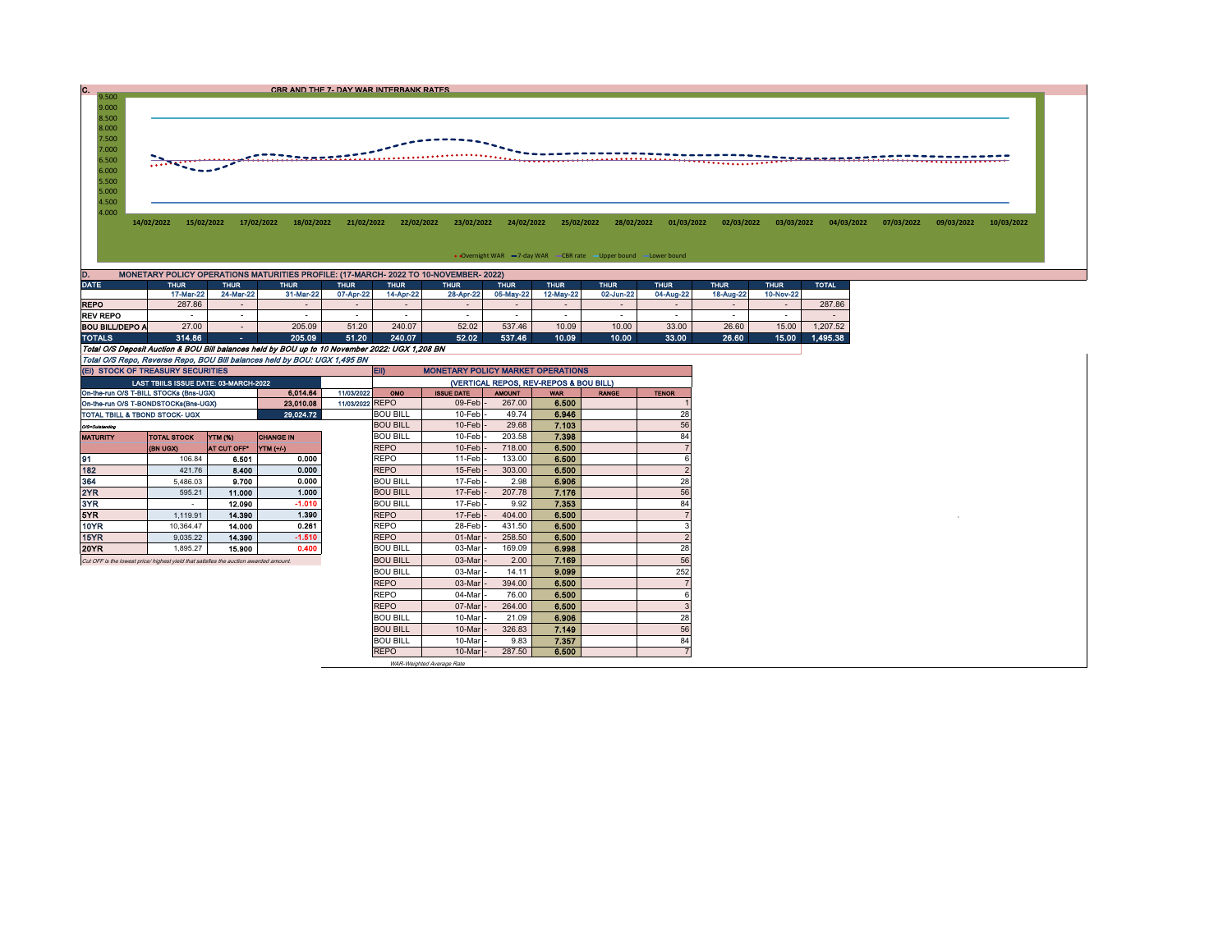C. CBR AND THE 7- DAY WAR INTERBANK RATES

9.000 8.500<br>
7.500<br>
7.000<br>
6.500<br>
5.500<br>
5.000<br>
4.500 2000 - 2000 - 2000 - 2000 - 2000 - 2000 - 2000 - 2000 - 2000 - 2000 - 2000 - 2000 - 2000 - 2000 - 2000 - 2000 - 2000 - 2000 - 2000 - 2000 - 2000 - 2000 - 2000 - 2000 - 2000 - 2000 - 2000 - 2000 - 2000 - 2000 - 2000 - 2000 4.000 14/02/2022 15/02/2022 17/02/2022 18/02/2022 21/02/2022 22/02/2022 23/02/2022 24/02/2022 25/02/2022 28/02/2022 01/03/2022 02/03/2022 03/03/2022 04/03/2022 07/03/2022 09/03/2022 10/03/2022

• Overnight WAR = 7-day WAR CBR rate - Upper bound - Lower bound

| ID.                                                                                            | MONETARY POLICY OPERATIONS MATURITIES PROFILE: (17-MARCH- 2022 TO 10-NOVEMBER- 2022) |                |                          |             |             |             |             |             |             |                          |             |             |              |  |  |
|------------------------------------------------------------------------------------------------|--------------------------------------------------------------------------------------|----------------|--------------------------|-------------|-------------|-------------|-------------|-------------|-------------|--------------------------|-------------|-------------|--------------|--|--|
| <b>DATE</b>                                                                                    | <b>THUR</b><br><b>THUR</b><br><b>THUR</b>                                            |                |                          | <b>THUR</b> | <b>THUR</b> | <b>THUR</b> | <b>THUR</b> | <b>THUR</b> | <b>THUR</b> | <b>THUR</b>              | <b>THUR</b> | <b>THUR</b> | <b>TOTAL</b> |  |  |
|                                                                                                | 17-Mar-22                                                                            | 24-Mar-22      | 31-Mar-22                | 07-Apr-22   | 14-Apr-22   | 28-Apr-22   | 05-May-22   | 12-May-22   | 02-Jun-22   | 04-Aug-22                | 18-Aug-22   | 10-Nov-22   |              |  |  |
| <b>REPO</b>                                                                                    | 287.86                                                                               |                | $\overline{\phantom{a}}$ |             |             |             |             |             |             | $\overline{\phantom{a}}$ |             |             | 287.86       |  |  |
| <b>REV REPO</b>                                                                                |                                                                                      |                | -                        |             |             |             |             |             |             |                          |             |             |              |  |  |
| <b>BOU BILL/DEPO A</b>                                                                         | 27.00                                                                                |                | 205.09                   | 51.20       | 240.07      | 52.02       | 537.46      | 10.09       | 10.00       | 33.00                    | 26.60       | 15.00       | 1.207.52     |  |  |
| <b>TOTALS</b>                                                                                  | 314.86                                                                               | <b>Service</b> | 205.09                   | 51.20       | 240.07      | 52.02       | 537.46      | 10.09       | 10.00       | 33.00                    | 26.60       | 15.00       | 1.495.38     |  |  |
| Total O/S Deposit Auction & BOU Bill balances held by BOU up to 10 November 2022: UGX 1,208 BN |                                                                                      |                |                          |             |             |             |             |             |             |                          |             |             |              |  |  |
| Total O/S Repo, Reverse Repo, BOU Bill balances held by BOU: UGX 1,495 BN                      |                                                                                      |                |                          |             |             |             |             |             |             |                          |             |             |              |  |  |

9.500

| (EI) STOCK OF TREASURY SECURITIES                                                    |                                       |                |                  |                 | <b>ED</b><br><b>MONETARY POLICY MARKET OPERATIONS</b> |                   |               |            |              |              |  |  |  |
|--------------------------------------------------------------------------------------|---------------------------------------|----------------|------------------|-----------------|-------------------------------------------------------|-------------------|---------------|------------|--------------|--------------|--|--|--|
|                                                                                      | LAST TBIILS ISSUE DATE: 03-MARCH-2022 |                |                  |                 | (VERTICAL REPOS, REV-REPOS & BOU BILL)                |                   |               |            |              |              |  |  |  |
| On-the-run O/S T-BILL STOCKs (Bns-UGX)                                               |                                       |                | 6.014.64         | 11/03/2022      | OMO                                                   | <b>ISSUE DATE</b> | <b>AMOUNT</b> | <b>WAR</b> | <b>RANGE</b> | <b>TENOR</b> |  |  |  |
| On-the-run O/S T-BONDSTOCKs(Bns-UGX)                                                 |                                       |                | 23.010.08        | 11/03/2022 REPO |                                                       | 09-Feb            | 267.00        | 6.500      |              |              |  |  |  |
| TOTAL TBILL & TBOND STOCK- UGX                                                       |                                       |                | 29.024.72        |                 | <b>BOU BILL</b>                                       | 10-Feb            | 49.74         | 6.946      |              | 28           |  |  |  |
| O/S=Outstanding                                                                      |                                       |                |                  | <b>BOU BILL</b> | $10$ -Feb                                             | 29.68             | 7.103         |            | 56           |              |  |  |  |
| <b>MATURITY</b>                                                                      | <b>TOTAL STOCK</b>                    | <b>YTM (%)</b> | <b>CHANGE IN</b> |                 | <b>BOU BILL</b>                                       | 10-Feb            | 203.58        | 7.398      |              | 84           |  |  |  |
|                                                                                      | <b>(BN UGX)</b>                       | AT CUT OFF*    | YTM (+/-)        |                 | <b>REPO</b>                                           | 10-Feb            | 718.00        | 6.500      |              |              |  |  |  |
| 91                                                                                   | 106.84                                | 6.501          | 0.000            |                 | <b>REPO</b>                                           | 11-Feb            | 133.00        | 6.500      |              | 6            |  |  |  |
| 182                                                                                  | 421.76                                | 8.400          | 0.000            |                 | <b>REPO</b>                                           | 15-Feb            | 303.00        | 6.500      |              |              |  |  |  |
| 364                                                                                  | 5.486.03                              | 9.700          | 0.000            |                 | <b>BOU BILL</b>                                       | 17-Feb            | 2.98          | 6.906      |              | 28           |  |  |  |
| 2YR                                                                                  | 595.21                                | 11.000         | 1.000            |                 | <b>BOU BILL</b>                                       | 17-Feb            | 207.78        | 7.176      |              | 56           |  |  |  |
| 3YR                                                                                  |                                       | 12.090         | $-1.010$         |                 | <b>BOU BILL</b>                                       | 17-Feb            | 9.92          | 7.353      |              | 84           |  |  |  |
| 5YR                                                                                  | 1.119.91                              | 14,390         | 1.390            |                 | <b>REPO</b>                                           | 17-Feb            | 404.00        | 6.500      |              |              |  |  |  |
| 10YR                                                                                 | 10.364.47                             | 14.000         | 0.261            |                 | <b>REPO</b>                                           | 28-Feb            | 431.50        | 6.500      |              |              |  |  |  |
| 15YR                                                                                 | 9.035.22                              | 14,390         | $-1.510$         |                 | <b>REPO</b>                                           | 01-Mar            | 258.50        | 6.500      |              |              |  |  |  |
| 20YR                                                                                 | 1.895.27                              | 15,900         | 0.400            |                 | <b>BOU BILL</b>                                       | 03-Mar            | 169.09        | 6.998      |              | 28           |  |  |  |
| Cut OFF is the lowest price/highest vield that satisfies the auction awarded amount. |                                       |                |                  |                 | <b>BOU BILL</b>                                       | 03-Mar            | 2.00          | 7.169      |              | 56           |  |  |  |
|                                                                                      |                                       |                |                  |                 | <b>BOU BILL</b>                                       | 03-Mar            | 14.11         | 9.099      |              | 252          |  |  |  |
|                                                                                      |                                       |                |                  |                 | <b>REPO</b>                                           | 03-Mar            | 394.00        | 6.500      |              |              |  |  |  |
|                                                                                      |                                       |                |                  |                 | <b>REPO</b>                                           | 04-Mar            | 76.00         | 6.500      |              |              |  |  |  |
|                                                                                      |                                       | <b>REPO</b>    | 07-Mar           | 264.00          | 6,500                                                 |                   | 3             |            |              |              |  |  |  |
|                                                                                      |                                       |                |                  |                 | <b>BOU BILL</b>                                       | 10-Mar            | 21.09         | 6.906      |              | 28           |  |  |  |
|                                                                                      |                                       |                |                  |                 | <b>BOU BILL</b>                                       | 10-Mar            | 326.83        | 7.149      |              | 56           |  |  |  |
|                                                                                      |                                       |                |                  |                 | <b>BOU BILL</b>                                       | 10-Mar            | 9.83          | 7.357      |              | 84           |  |  |  |
|                                                                                      |                                       |                |                  |                 | <b>REPO</b>                                           | 10-Mar            | 287.50        | 6.500      |              |              |  |  |  |

WAR-Weighted Average Rate